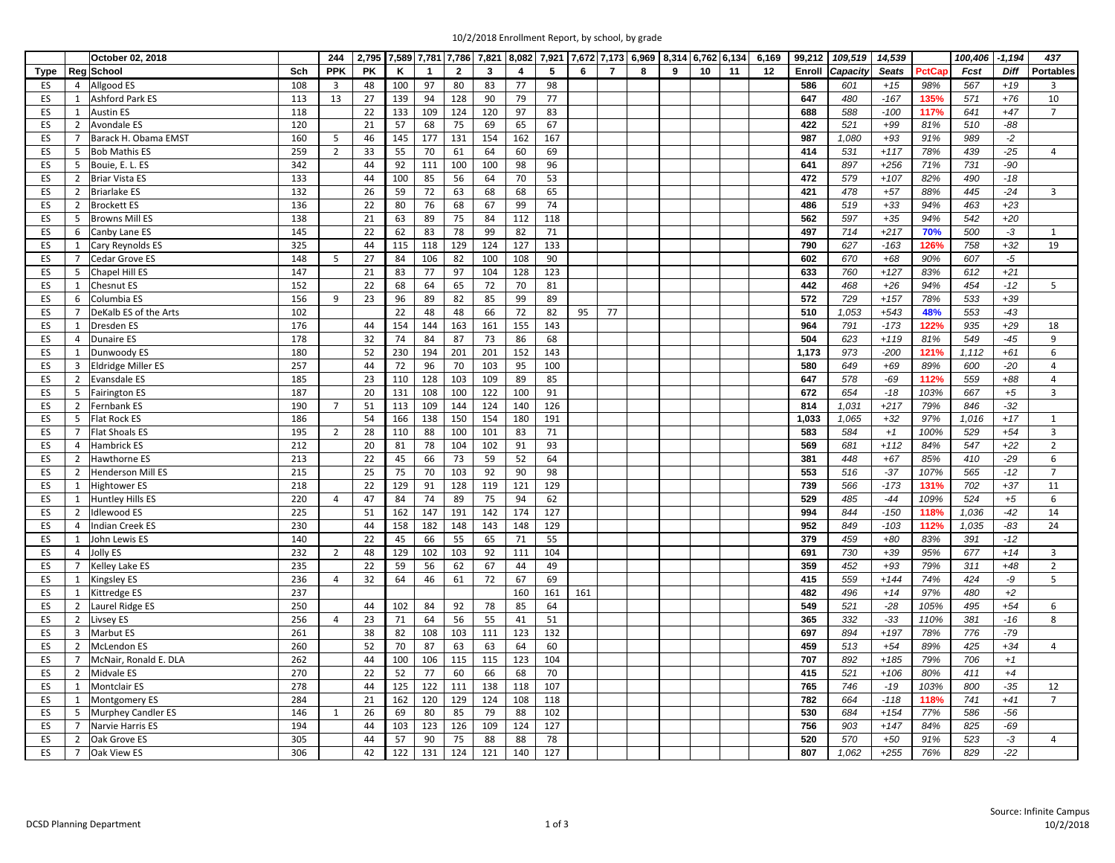|  | 10/2/2018 Enrollment Report, by school, by grade |  |  |
|--|--------------------------------------------------|--|--|
|  |                                                  |  |  |

|             |                | October 02, 2018          |     | 244            | 2,795     |     |              |                |     |     |     | 7,589 7,781 7,786 7,821 8,082 7,921 7,672 7,173 6,969 8,314 6,762 6,134 |                |   |   |    |    | 6,169 | 99,212 | 109,519  | 14,539       |       | 100,406 | $-1,194$    | 437            |
|-------------|----------------|---------------------------|-----|----------------|-----------|-----|--------------|----------------|-----|-----|-----|-------------------------------------------------------------------------|----------------|---|---|----|----|-------|--------|----------|--------------|-------|---------|-------------|----------------|
| <b>Type</b> |                | Reg School                | Sch | <b>PPK</b>     | <b>PK</b> | K   | $\mathbf{1}$ | $\overline{2}$ | 3   | 4   | 5   | 6                                                                       | $\overline{7}$ | 8 | 9 | 10 | 11 | 12    | Enroll | Capacity | <b>Seats</b> | PctCa | Fcst    | <b>Diff</b> | Portables      |
| ES          | 4              | Allgood ES                | 108 | $\overline{3}$ | 48        | 100 | 97           | 80             | 83  | 77  | 98  |                                                                         |                |   |   |    |    |       | 586    | 601      | $+15$        | 98%   | 567     | $+19$       | $\overline{3}$ |
| ES          | $\mathbf{1}$   | Ashford Park ES           | 113 | 13             | 27        | 139 | 94           | 128            | 90  | 79  | 77  |                                                                         |                |   |   |    |    |       | 647    | 480      | $-167$       | 135%  | 571     | $+76$       | 10             |
| ES          | $\mathbf{1}$   | <b>Austin ES</b>          | 118 |                | 22        | 133 | 109          | 124            | 120 | 97  | 83  |                                                                         |                |   |   |    |    |       | 688    | 588      | $-100$       | 117%  | 641     | $+47$       | $\overline{7}$ |
| ES          | $\overline{2}$ | Avondale ES               | 120 |                | 21        | 57  | 68           | 75             | 69  | 65  | 67  |                                                                         |                |   |   |    |    |       | 422    | 521      | $+99$        | 81%   | 510     | $-88$       |                |
| ES          | 7              | Barack H. Obama EMST      | 160 | 5              | 46        | 145 | 177          | 131            | 154 | 162 | 167 |                                                                         |                |   |   |    |    |       | 987    | 1,080    | $+93$        | 91%   | 989     | $-2$        |                |
| ES          | 5              | <b>Bob Mathis ES</b>      | 259 | $\overline{2}$ | 33        | 55  | 70           | 61             | 64  | 60  | 69  |                                                                         |                |   |   |    |    |       | 414    | 531      | $+117$       | 78%   | 439     | $-25$       | $\overline{4}$ |
| ES          | 5              | Bouie, E. L. ES           | 342 |                | 44        | 92  | 111          | 100            | 100 | 98  | 96  |                                                                         |                |   |   |    |    |       | 641    | 897      | $+256$       | 71%   | 731     | $-90$       |                |
| ES          | $\overline{2}$ | <b>Briar Vista ES</b>     | 133 |                | 44        | 100 | 85           | 56             | 64  | 70  | 53  |                                                                         |                |   |   |    |    |       | 472    | 579      | $+107$       | 82%   | 490     | $-18$       |                |
| ES          | $\overline{2}$ | <b>Briarlake ES</b>       | 132 |                | 26        | 59  | 72           | 63             | 68  | 68  | 65  |                                                                         |                |   |   |    |    |       | 421    | 478      | $+57$        | 88%   | 445     | $-24$       | 3              |
| ES          | $\overline{2}$ | <b>Brockett ES</b>        | 136 |                | 22        | 80  | 76           | 68             | 67  | 99  | 74  |                                                                         |                |   |   |    |    |       | 486    | 519      | $+33$        | 94%   | 463     | $+23$       |                |
| ES          | 5              | <b>Browns Mill ES</b>     | 138 |                | 21        | 63  | 89           | 75             | 84  | 112 | 118 |                                                                         |                |   |   |    |    |       | 562    | 597      | $+35$        | 94%   | 542     | $+20$       |                |
| ES          | 6              | Canby Lane ES             | 145 |                | 22        | 62  | 83           | 78             | 99  | 82  | 71  |                                                                         |                |   |   |    |    |       | 497    | 714      | $+217$       | 70%   | 500     | $-3$        | $\mathbf{1}$   |
| ES          | $\mathbf{1}$   | Cary Reynolds ES          | 325 |                | 44        | 115 | 118          | 129            | 124 | 127 | 133 |                                                                         |                |   |   |    |    |       | 790    | 627      | $-163$       | 126%  | 758     | $+32$       | 19             |
| ES          | $\overline{7}$ | Cedar Grove ES            | 148 | 5              | 27        | 84  | 106          | 82             | 100 | 108 | 90  |                                                                         |                |   |   |    |    |       | 602    | 670      | $+68$        | 90%   | 607     | -5          |                |
| <b>ES</b>   | 5              | Chapel Hill ES            | 147 |                | 21        | 83  | 77           | 97             | 104 | 128 | 123 |                                                                         |                |   |   |    |    |       | 633    | 760      | $+127$       | 83%   | 612     | $+21$       |                |
| ES          | 1              | <b>Chesnut ES</b>         | 152 |                | 22        | 68  | 64           | 65             | 72  | 70  | 81  |                                                                         |                |   |   |    |    |       | 442    | 468      | $+26$        | 94%   | 454     | $-12$       | 5              |
| ES          | 6              | Columbia ES               | 156 | 9              | 23        | 96  | 89           | 82             | 85  | 99  | 89  |                                                                         |                |   |   |    |    |       | 572    | 729      | $+157$       | 78%   | 533     | $+39$       |                |
|             | $\overline{7}$ |                           |     |                |           | 22  |              |                |     |     |     |                                                                         |                |   |   |    |    |       |        |          |              |       |         | $-43$       |                |
| ES          |                | DeKalb ES of the Arts     | 102 |                |           |     | 48           | 48             | 66  | 72  | 82  | 95                                                                      | 77             |   |   |    |    |       | 510    | 1,053    | $+543$       | 48%   | 553     |             |                |
| ES          | 1              | <b>Dresden ES</b>         | 176 |                | 44        | 154 | 144          | 163            | 161 | 155 | 143 |                                                                         |                |   |   |    |    |       | 964    | 791      | $-173$       | 122%  | 935     | $+29$       | 18             |
| ES          | $\overline{4}$ | Dunaire ES                | 178 |                | 32        | 74  | 84           | 87             | 73  | 86  | 68  |                                                                         |                |   |   |    |    |       | 504    | 623      | $+119$       | 81%   | 549     | $-45$       | 9              |
| ES          | $\mathbf{1}$   | Dunwoody ES               | 180 |                | 52        | 230 | 194          | 201            | 201 | 152 | 143 |                                                                         |                |   |   |    |    |       | 1,173  | 973      | $-200$       | 121%  | 1,112   | $+61$       | 6              |
| ES          | 3              | <b>Eldridge Miller ES</b> | 257 |                | 44        | 72  | 96           | 70             | 103 | 95  | 100 |                                                                         |                |   |   |    |    |       | 580    | 649      | $+69$        | 89%   | 600     | $-20$       | $\overline{4}$ |
| ES          | $\overline{2}$ | <b>Evansdale ES</b>       | 185 |                | 23        | 110 | 128          | 103            | 109 | 89  | 85  |                                                                         |                |   |   |    |    |       | 647    | 578      | $-69$        | 112%  | 559     | $+88$       | $\overline{4}$ |
| ES          | 5              | <b>Fairington ES</b>      | 187 |                | 20        | 131 | 108          | 100            | 122 | 100 | 91  |                                                                         |                |   |   |    |    |       | 672    | 654      | $-18$        | 103%  | 667     | $+5$        | $\overline{3}$ |
| ES          | $\overline{2}$ | Fernbank ES               | 190 | $\overline{7}$ | 51        | 113 | 109          | 144            | 124 | 140 | 126 |                                                                         |                |   |   |    |    |       | 814    | 1,031    | $+217$       | 79%   | 846     | $-32$       |                |
| ES          | 5              | <b>Flat Rock ES</b>       | 186 |                | 54        | 166 | 138          | 150            | 154 | 180 | 191 |                                                                         |                |   |   |    |    |       | 1,033  | 1,065    | $+32$        | 97%   | 1,016   | $+17$       | $\mathbf{1}$   |
| ES          | $\overline{7}$ | <b>Flat Shoals ES</b>     | 195 | $\overline{2}$ | 28        | 110 | 88           | 100            | 101 | 83  | 71  |                                                                         |                |   |   |    |    |       | 583    | 584      | $+1$         | 100%  | 529     | $+54$       | $\overline{3}$ |
| ES          | $\overline{4}$ | <b>Hambrick ES</b>        | 212 |                | 20        | 81  | 78           | 104            | 102 | 91  | 93  |                                                                         |                |   |   |    |    |       | 569    | 681      | $+112$       | 84%   | 547     | $+22$       | $\overline{2}$ |
| ES          | $\overline{2}$ | Hawthorne ES              | 213 |                | 22        | 45  | 66           | 73             | 59  | 52  | 64  |                                                                         |                |   |   |    |    |       | 381    | 448      | $+67$        | 85%   | 410     | $-29$       | 6              |
| ES          | 2              | <b>Henderson Mill ES</b>  | 215 |                | 25        | 75  | 70           | 103            | 92  | 90  | 98  |                                                                         |                |   |   |    |    |       | 553    | 516      | $-37$        | 107%  | 565     | $-12$       | $\overline{7}$ |
| ES          | $\mathbf{1}$   | <b>Hightower ES</b>       | 218 |                | 22        | 129 | 91           | 128            | 119 | 121 | 129 |                                                                         |                |   |   |    |    |       | 739    | 566      | $-173$       | 131%  | 702     | $+37$       | 11             |
| ES          | $\mathbf{1}$   | <b>Huntley Hills ES</b>   | 220 | $\overline{4}$ | 47        | 84  | 74           | 89             | 75  | 94  | 62  |                                                                         |                |   |   |    |    |       | 529    | 485      | $-44$        | 109%  | 524     | $+5$        | 6              |
| ES          | $\overline{2}$ | <b>Idlewood ES</b>        | 225 |                | 51        | 162 | 147          | 191            | 142 | 174 | 127 |                                                                         |                |   |   |    |    |       | 994    | 844      | $-150$       | 118%  | 1,036   | $-42$       | 14             |
| ES          | $\overline{4}$ | <b>Indian Creek ES</b>    | 230 |                | 44        | 158 | 182          | 148            | 143 | 148 | 129 |                                                                         |                |   |   |    |    |       | 952    | 849      | $-103$       | 112%  | 1,035   | $-83$       | 24             |
| ES          | 1              | John Lewis ES             | 140 |                | 22        | 45  | 66           | 55             | 65  | 71  | 55  |                                                                         |                |   |   |    |    |       | 379    | 459      | $+80$        | 83%   | 391     | $-12$       |                |
| ES          | $\overline{4}$ | Jolly ES                  | 232 | $\overline{2}$ | 48        | 129 | 102          | 103            | 92  | 111 | 104 |                                                                         |                |   |   |    |    |       | 691    | 730      | $+39$        | 95%   | 677     | $+14$       | $\overline{3}$ |
| ES          | $\overline{7}$ | Kelley Lake ES            | 235 |                | 22        | 59  | 56           | 62             | 67  | 44  | 49  |                                                                         |                |   |   |    |    |       | 359    | 452      | $+93$        | 79%   | 311     | $+48$       | $\overline{2}$ |
| ES          | $\mathbf{1}$   | Kingsley ES               | 236 | $\overline{4}$ | 32        | 64  | 46           | 61             | 72  | 67  | 69  |                                                                         |                |   |   |    |    |       | 415    | 559      | $+144$       | 74%   | 424     | -9          | 5              |
| ES          | $\mathbf{1}$   | <b>Kittredge ES</b>       | 237 |                |           |     |              |                |     | 160 | 161 | 161                                                                     |                |   |   |    |    |       | 482    | 496      | $+14$        | 97%   | 480     | $+2$        |                |
| ES          | $\overline{2}$ | Laurel Ridge ES           | 250 |                | 44        | 102 | 84           | 92             | 78  | 85  | 64  |                                                                         |                |   |   |    |    |       | 549    | 521      | $-28$        | 105%  | 495     | $+54$       | 6              |
| ES          | $\overline{2}$ | <b>Livsey ES</b>          | 256 | $\overline{4}$ | 23        | 71  | 64           | 56             | 55  | 41  | 51  |                                                                         |                |   |   |    |    |       | 365    | 332      | $-33$        | 110%  | 381     | $-16$       | 8              |
| ES          | 3              | <b>Marbut ES</b>          | 261 |                | 38        | 82  | 108          | 103            | 111 | 123 | 132 |                                                                         |                |   |   |    |    |       | 697    | 894      | $+197$       | 78%   | 776     | $-79$       |                |
| <b>ES</b>   | $\overline{2}$ | <b>McLendon ES</b>        | 260 |                | 52        | 70  | 87           | 63             | 63  | 64  | 60  |                                                                         |                |   |   |    |    |       | 459    | 513      | $+54$        | 89%   | 425     | $+34$       | $\overline{4}$ |
| ES          | $\overline{7}$ | McNair, Ronald E. DLA     | 262 |                | 44        | 100 | 106          | 115            | 115 | 123 | 104 |                                                                         |                |   |   |    |    |       | 707    | 892      | $+185$       | 79%   | 706     | $+1$        |                |
| ES          | $\overline{2}$ | Midvale ES                | 270 |                | 22        | 52  | 77           | 60             | 66  | 68  | 70  |                                                                         |                |   |   |    |    |       | 415    | 521      | $+106$       | 80%   | 411     | $+4$        |                |
| ES          | $\mathbf{1}$   | <b>Montclair ES</b>       | 278 |                | 44        | 125 | 122          | 111            | 138 | 118 | 107 |                                                                         |                |   |   |    |    |       | 765    | 746      | $-19$        | 103%  | 800     | $-35$       | 12             |
| ES          | 1              | <b>Montgomery ES</b>      | 284 |                | 21        | 162 | 120          | 129            | 124 | 108 | 118 |                                                                         |                |   |   |    |    |       | 782    | 664      | $-118$       | 118%  | 741     | $+41$       | $\overline{7}$ |
| ES          | 5              | <b>Murphey Candler ES</b> | 146 | 1              | 26        | 69  | 80           | 85             | 79  | 88  | 102 |                                                                         |                |   |   |    |    |       | 530    | 684      | $+154$       | 77%   | 586     | $-56$       |                |
| <b>ES</b>   | $\overline{7}$ | Narvie Harris ES          | 194 |                | 44        | 103 | 123          | 126            | 109 | 124 | 127 |                                                                         |                |   |   |    |    |       | 756    | 903      | $+147$       | 84%   | 825     | $-69$       |                |
| ES          | $\overline{2}$ | Oak Grove ES              | 305 |                | 44        | 57  | 90           | 75             | 88  | 88  | 78  |                                                                         |                |   |   |    |    |       | 520    | 570      | $+50$        | 91%   | 523     | $-3$        | $\overline{4}$ |
| ES          | $\overline{7}$ | Oak View ES               | 306 |                | 42        | 122 | 131          | 124            | 121 | 140 | 127 |                                                                         |                |   |   |    |    |       | 807    | 1,062    | $+255$       | 76%   | 829     | $-22$       |                |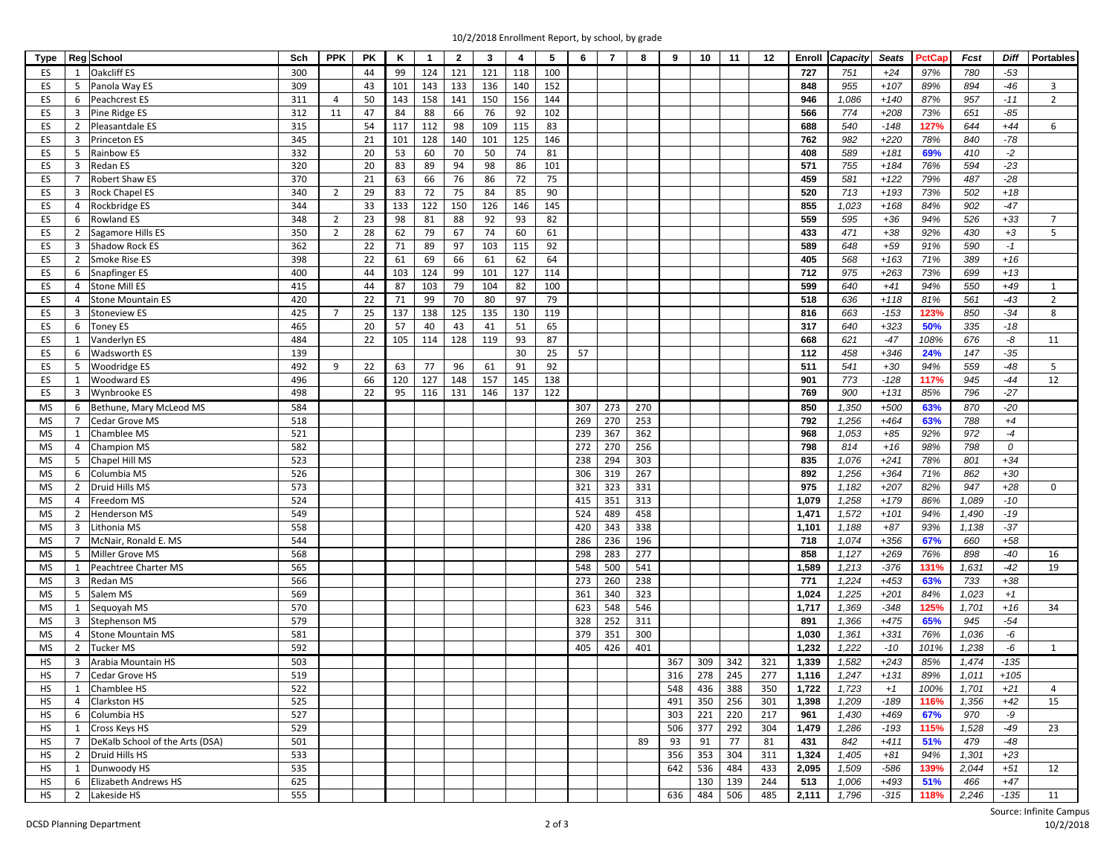|  | 10/2/2018 Enrollment Report, by school, by grade |  |  |
|--|--------------------------------------------------|--|--|
|  |                                                  |  |  |

| Type      |                | Reg School                      | Sch | <b>PPK</b>     | PK | Κ   | $\overline{1}$ | $\overline{2}$ | 3   | 4        | 5   | 6   | $\overline{7}$ | 8   | 9   | 10  | 11  | 12  | Enroll | Capacity | <b>Seats</b> | PctCa | Fcst  | <b>Diff</b> | <b>Portables</b> |
|-----------|----------------|---------------------------------|-----|----------------|----|-----|----------------|----------------|-----|----------|-----|-----|----------------|-----|-----|-----|-----|-----|--------|----------|--------------|-------|-------|-------------|------------------|
| ES        | 1              | <b>Oakcliff ES</b>              | 300 |                | 44 | 99  | 124            | 121            | 121 | 118      | 100 |     |                |     |     |     |     |     | 727    | 751      | $+24$        | 97%   | 780   | $-53$       |                  |
| ES        | 5              | Panola Way ES                   | 309 |                | 43 | 101 | 143            | 133            | 136 | 140      | 152 |     |                |     |     |     |     |     | 848    | 955      | $+107$       | 89%   | 894   | $-46$       | $\overline{3}$   |
| ES        | 6              | Peachcrest ES                   | 311 | $\overline{4}$ | 50 | 143 | 158            | 141            | 150 | 156      | 144 |     |                |     |     |     |     |     | 946    | 1,086    | $+140$       | 87%   | 957   | $-11$       | $\overline{2}$   |
| ES        | 3              | Pine Ridge ES                   | 312 | 11             | 47 | 84  | 88             | 66             | 76  | 92       | 102 |     |                |     |     |     |     |     | 566    | 774      | $+208$       | 73%   | 651   | $-85$       |                  |
| ES        | $\overline{2}$ | Pleasantdale ES                 | 315 |                | 54 | 117 | 112            | 98             | 109 | 115      | 83  |     |                |     |     |     |     |     | 688    | 540      | $-148$       | 127%  | 644   | $+44$       | 6                |
| ES        | 3              | Princeton ES                    | 345 |                | 21 | 101 | 128            | 140            | 101 | 125      | 146 |     |                |     |     |     |     |     | 762    | 982      | $+220$       | 78%   | 840   | $-78$       |                  |
| ES        | 5              | Rainbow ES                      | 332 |                | 20 | 53  | 60             | 70             | 50  | 74       | 81  |     |                |     |     |     |     |     | 408    | 589      | $+181$       | 69%   | 410   | $-2$        |                  |
|           |                |                                 | 320 |                |    |     |                |                |     |          |     |     |                |     |     |     |     |     | 571    |          |              |       |       | $-23$       |                  |
| ES        | 3              | Redan ES                        |     |                | 20 | 83  | 89             | 94             | 98  | 86<br>72 | 101 |     |                |     |     |     |     |     |        | 755      | $+184$       | 76%   | 594   | $-28$       |                  |
| ES        | $\overline{7}$ | Robert Shaw ES                  | 370 |                | 21 | 63  | 66             | 76             | 86  |          | 75  |     |                |     |     |     |     |     | 459    | 581      | $+122$       | 79%   | 487   |             |                  |
| ES        | 3              | <b>Rock Chapel ES</b>           | 340 | $\overline{2}$ | 29 | 83  | 72             | 75             | 84  | 85       | 90  |     |                |     |     |     |     |     | 520    | 713      | $+193$       | 73%   | 502   | $+18$       |                  |
| ES        | $\overline{4}$ | Rockbridge ES                   | 344 |                | 33 | 133 | 122            | 150            | 126 | 146      | 145 |     |                |     |     |     |     |     | 855    | 1,023    | $+168$       | 84%   | 902   | $-47$       |                  |
| ES        | 6              | <b>Rowland ES</b>               | 348 | $\overline{2}$ | 23 | 98  | 81             | 88             | 92  | 93       | 82  |     |                |     |     |     |     |     | 559    | 595      | $+36$        | 94%   | 526   | $+33$       | $\overline{7}$   |
| ES        | $\overline{2}$ | Sagamore Hills ES               | 350 | $\overline{2}$ | 28 | 62  | 79             | 67             | 74  | 60       | 61  |     |                |     |     |     |     |     | 433    | 471      | $+38$        | 92%   | 430   | $+3$        | 5                |
| ES        | 3              | <b>Shadow Rock ES</b>           | 362 |                | 22 | 71  | 89             | 97             | 103 | 115      | 92  |     |                |     |     |     |     |     | 589    | 648      | $+59$        | 91%   | 590   | $-1$        |                  |
| ES        | $\overline{2}$ | Smoke Rise ES                   | 398 |                | 22 | 61  | 69             | 66             | 61  | 62       | 64  |     |                |     |     |     |     |     | 405    | 568      | $+163$       | 71%   | 389   | $+16$       |                  |
| ES        | 6              | Snapfinger ES                   | 400 |                | 44 | 103 | 124            | 99             | 101 | 127      | 114 |     |                |     |     |     |     |     | 712    | 975      | $+263$       | 73%   | 699   | $+13$       |                  |
| ES        | $\overline{4}$ | <b>Stone Mill ES</b>            | 415 |                | 44 | 87  | 103            | 79             | 104 | 82       | 100 |     |                |     |     |     |     |     | 599    | 640      | $+41$        | 94%   | 550   | $+49$       | 1                |
| <b>ES</b> | $\overline{4}$ | <b>Stone Mountain ES</b>        | 420 |                | 22 | 71  | 99             | 70             | 80  | 97       | 79  |     |                |     |     |     |     |     | 518    | 636      | $+118$       | 81%   | 561   | $-43$       | $\overline{2}$   |
| ES        | 3              | <b>Stoneview ES</b>             | 425 | $\overline{7}$ | 25 | 137 | 138            | 125            | 135 | 130      | 119 |     |                |     |     |     |     |     | 816    | 663      | $-153$       | 123%  | 850   | $-34$       | 8                |
| ES        | 6              | Toney ES                        | 465 |                | 20 | 57  | 40             | 43             | 41  | 51       | 65  |     |                |     |     |     |     |     | 317    | 640      | $+323$       | 50%   | 335   | $-18$       |                  |
| ES        | 1              | Vanderlyn ES                    | 484 |                | 22 | 105 | 114            | 128            | 119 | 93       | 87  |     |                |     |     |     |     |     | 668    | 621      | $-47$        | 108%  | 676   | -8          | 11               |
| ES        | 6              | Wadsworth ES                    | 139 |                |    |     |                |                |     | 30       | 25  | 57  |                |     |     |     |     |     | 112    | 458      | $+346$       | 24%   | 147   | $-35$       |                  |
| ES        | 5              | Woodridge ES                    | 492 | 9              | 22 | 63  | 77             | 96             | 61  | 91       | 92  |     |                |     |     |     |     |     | 511    | 541      | $+30$        | 94%   | 559   | $-48$       | 5                |
| ES        | $\mathbf{1}$   | <b>Woodward ES</b>              | 496 |                | 66 | 120 | 127            | 148            | 157 | 145      | 138 |     |                |     |     |     |     |     | 901    | 773      | $-128$       | 117%  | 945   | -44         | 12               |
| ES        | 3              | Wynbrooke ES                    | 498 |                | 22 | 95  | 116            | 131            | 146 | 137      | 122 |     |                |     |     |     |     |     | 769    | 900      | $+131$       | 85%   | 796   | $-27$       |                  |
| MS        | 6              | Bethune, Mary McLeod MS         | 584 |                |    |     |                |                |     |          |     | 307 | 273            | 270 |     |     |     |     | 850    | 1,350    | $+500$       | 63%   | 870   | $-20$       |                  |
| MS        | $\overline{7}$ | Cedar Grove MS                  | 518 |                |    |     |                |                |     |          |     | 269 | 270            | 253 |     |     |     |     | 792    | 1,256    | $+464$       | 63%   | 788   | $+4$        |                  |
| MS        | 1              | Chamblee MS                     | 521 |                |    |     |                |                |     |          |     | 239 | 367            | 362 |     |     |     |     | 968    | 1,053    | $+85$        | 92%   | 972   | $-4$        |                  |
| MS        | $\overline{4}$ | Champion MS                     | 582 |                |    |     |                |                |     |          |     | 272 | 270            | 256 |     |     |     |     | 798    | 814      | $+16$        | 98%   | 798   | 0           |                  |
| MS        | 5              | Chapel Hill MS                  | 523 |                |    |     |                |                |     |          |     | 238 | 294            | 303 |     |     |     |     | 835    | 1,076    | $+241$       | 78%   | 801   | $+34$       |                  |
| MS        | 6              | Columbia MS                     | 526 |                |    |     |                |                |     |          |     | 306 | 319            | 267 |     |     |     |     | 892    | 1,256    | $+364$       | 71%   | 862   | $+30$       |                  |
| MS        | $\overline{2}$ | Druid Hills MS                  | 573 |                |    |     |                |                |     |          |     | 321 | 323            | 331 |     |     |     |     | 975    | 1,182    | $+207$       | 82%   | 947   | $+28$       | $\mathbf{0}$     |
| MS        | 4              | Freedom MS                      | 524 |                |    |     |                |                |     |          |     | 415 | 351            | 313 |     |     |     |     | 1,079  | 1,258    | $+179$       | 86%   | 1,089 | $-10$       |                  |
| MS        | $\overline{2}$ | Henderson MS                    | 549 |                |    |     |                |                |     |          |     | 524 | 489            | 458 |     |     |     |     | 1,471  | 1,572    | $+101$       | 94%   | 1,490 | $-19$       |                  |
| MS        | 3              | Lithonia MS                     | 558 |                |    |     |                |                |     |          |     | 420 | 343            | 338 |     |     |     |     | 1,101  | 1,188    | $+87$        | 93%   | 1,138 | $-37$       |                  |
|           | $\overline{7}$ |                                 | 544 |                |    |     |                |                |     |          |     | 286 | 236            | 196 |     |     |     |     | 718    | 1,074    | $+356$       | 67%   | 660   | $+58$       |                  |
| MS        |                | McNair, Ronald E. MS            | 568 |                |    |     |                |                |     |          |     |     |                | 277 |     |     |     |     | 858    |          |              | 76%   |       |             |                  |
| MS        | 5              | Miller Grove MS                 |     |                |    |     |                |                |     |          |     | 298 | 283            |     |     |     |     |     |        | 1,127    | $+269$       |       | 898   | $-40$       | 16               |
| MS        | 1              | Peachtree Charter MS            | 565 |                |    |     |                |                |     |          |     | 548 | 500            | 541 |     |     |     |     | 1,589  | 1,213    | $-376$       | 131%  | 1,631 | $-42$       | 19               |
| MS        | 3              | Redan MS                        | 566 |                |    |     |                |                |     |          |     | 273 | 260            | 238 |     |     |     |     | 771    | 1,224    | $+453$       | 63%   | 733   | $+38$       |                  |
| MS        | 5              | Salem MS                        | 569 |                |    |     |                |                |     |          |     | 361 | 340            | 323 |     |     |     |     | 1,024  | 1,225    | $+201$       | 84%   | 1,023 | $+1$        |                  |
| MS        | 1              | Sequoyah MS                     | 570 |                |    |     |                |                |     |          |     | 623 | 548            | 546 |     |     |     |     | 1,717  | 1,369    | $-348$       | 125%  | 1,701 | $+16$       | 34               |
| <b>MS</b> | 3              | Stephenson MS                   | 579 |                |    |     |                |                |     |          |     | 328 | 252            | 311 |     |     |     |     | 891    | 1,366    | $+475$       | 65%   | 945   | $-54$       |                  |
| MS        | $\overline{4}$ | <b>Stone Mountain MS</b>        | 581 |                |    |     |                |                |     |          |     | 379 | 351            | 300 |     |     |     |     | 1,030  | 1,361    | $+331$       | 76%   | 1,036 | -6          |                  |
| MS        | 2              | <b>Tucker MS</b>                | 592 |                |    |     |                |                |     |          |     | 405 | 426            | 401 |     |     |     |     | 1,232  | 1,222    | $-10$        | 101%  | 1,238 | -6          | 1                |
| HS        | 3              | Arabia Mountain HS              | 503 |                |    |     |                |                |     |          |     |     |                |     | 367 | 309 | 342 | 321 | 1,339  | 1,582    | $+243$       | 85%   | 1,474 | $-135$      |                  |
| <b>HS</b> | $\overline{7}$ | Cedar Grove HS                  | 519 |                |    |     |                |                |     |          |     |     |                |     | 316 | 278 | 245 | 277 | 1,116  | 1,247    | $+131$       | 89%   | 1,011 | $+105$      |                  |
| HS        | 1              | Chamblee HS                     | 522 |                |    |     |                |                |     |          |     |     |                |     | 548 | 436 | 388 | 350 | 1,722  | 1,723    | $+1$         | 100%  | 1,701 | $+21$       | $\overline{4}$   |
| HS        | $\overline{4}$ | Clarkston HS                    | 525 |                |    |     |                |                |     |          |     |     |                |     | 491 | 350 | 256 | 301 | 1,398  | 1,209    | $-189$       | 116%  | 1,356 | $+42$       | 15               |
| HS        | 6              | Columbia HS                     | 527 |                |    |     |                |                |     |          |     |     |                |     | 303 | 221 | 220 | 217 | 961    | 1,430    | $+469$       | 67%   | 970   | -9          |                  |
| HS        | 1              | Cross Keys HS                   | 529 |                |    |     |                |                |     |          |     |     |                |     | 506 | 377 | 292 | 304 | 1,479  | 1,286    | $-193$       | 115%  | 1,528 | $-49$       | 23               |
| HS        | 7              | DeKalb School of the Arts (DSA) | 501 |                |    |     |                |                |     |          |     |     |                | 89  | 93  | 91  | 77  | 81  | 431    | 842      | $+411$       | 51%   | 479   | $-48$       |                  |
| HS        | $\overline{2}$ | Druid Hills HS                  | 533 |                |    |     |                |                |     |          |     |     |                |     | 356 | 353 | 304 | 311 | 1,324  | 1,405    | $+81$        | 94%   | 1,301 | $+23$       |                  |
| HS        | 1              | Dunwoody HS                     | 535 |                |    |     |                |                |     |          |     |     |                |     | 642 | 536 | 484 | 433 | 2,095  | 1,509    | $-586$       | 139%  | 2,044 | $+51$       | 12               |
| HS        | 6              | Elizabeth Andrews HS            | 625 |                |    |     |                |                |     |          |     |     |                |     |     | 130 | 139 | 244 | 513    | 1,006    | $+493$       | 51%   | 466   | $+47$       |                  |
| HS        | $\overline{2}$ | Lakeside HS                     | 555 |                |    |     |                |                |     |          |     |     |                |     | 636 | 484 | 506 | 485 | 2,111  | 1,796    | $-315$       | 118%  | 2,246 | $-135$      | 11               |